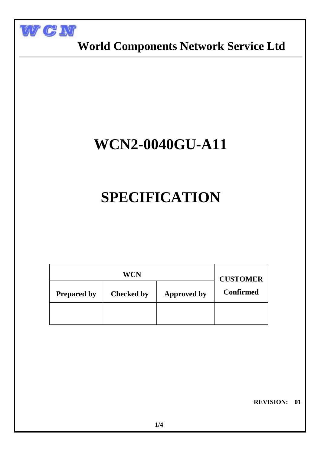

j

### **World Components Network Service Ltd**

## **WCN2-0040GU-A11**

# **SPECIFICATION**

|                    | <b>CUSTOMER</b>   |                    |  |  |  |
|--------------------|-------------------|--------------------|--|--|--|
| <b>Prepared by</b> | <b>Checked by</b> | <b>Approved by</b> |  |  |  |
|                    |                   |                    |  |  |  |

 **REVISION: 01**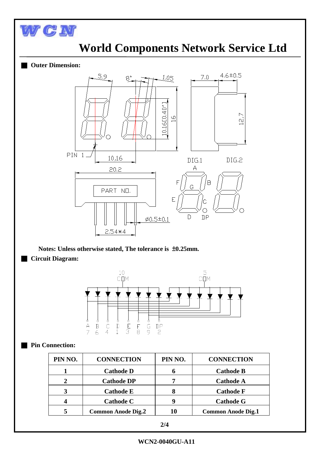

### **World Components Network Service Ltd**

#### **Outer Dimension:**



**Notes: Unless otherwise stated, The tolerance is** ±**0.25mm.** ■ **Circuit Diagram:**



#### **Pin Connection:**

| PIN NO. | <b>CONNECTION</b>         | PIN NO. | <b>CONNECTION</b>         |
|---------|---------------------------|---------|---------------------------|
|         | <b>Cathode D</b>          | 6       | <b>Cathode B</b>          |
|         | <b>Cathode DP</b>         | 7       | <b>Cathode A</b>          |
|         | <b>Cathode E</b>          | 8       | <b>Cathode F</b>          |
|         | <b>Cathode C</b>          | 9       | <b>Cathode G</b>          |
|         | <b>Common Anode Dig.2</b> | 10      | <b>Common Anode Dig.1</b> |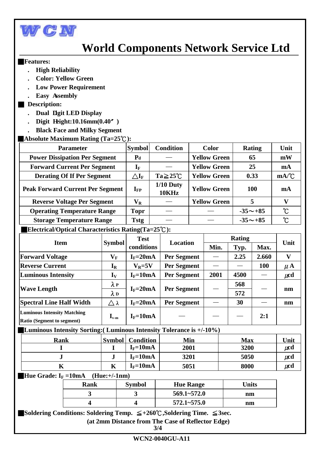

### **World Components Network Service Ltd**

#### ■**Features:**

- **. High Reliability**
- **. Color: Yellow Green**
- **. Low Power Requirement**
- **. Easy Assembly**

### ■ **Description:**

- **. Dual Digit LED Display**
- **. Digit Height:10.16mm(0.40**〞**)**
- **. Black Face and Milky Segment**

### ■**Absolute Maximum Rating (Ta=25**℃**):**

| <b>Parameter</b>                        | <b>Symbol</b>                     | <b>Condition</b>      | <b>Color</b>        | <b>Rating</b>  | Unit              |
|-----------------------------------------|-----------------------------------|-----------------------|---------------------|----------------|-------------------|
| <b>Power Dissipation Per Segment</b>    | $P_{d}$                           |                       | <b>Yellow Green</b> | 65             | mW                |
| <b>Forward Current Per Segment</b>      | $\mathbf{I}_{\text{F}}$           |                       | <b>Yellow Green</b> | 25             | mA                |
| <b>Derating Of If Per Segment</b>       | $\triangle \mathbf{I}_\mathrm{F}$ | $Ta \geq 25^{\circ}C$ | <b>Yellow Green</b> | 0.33           | mA/C              |
| <b>Peak Forward Current Per Segment</b> | $I_{FP}$                          | $1/10$ Duty<br>10KHz  | <b>Yellow Green</b> | <b>100</b>     | m <sub>A</sub>    |
| <b>Reverse Voltage Per Segment</b>      | $\mathbf{V}_\mathbf{R}$           |                       | <b>Yellow Green</b> | 5              |                   |
| <b>Operating Temperature Range</b>      | Topr                              |                       |                     | $-35 \sim +85$ | $\rm ^{\circ}C$   |
| <b>Storage Temperature Range</b>        | Tstg                              |                       |                     | $-35 \sim +85$ | $\rm ^{\circ}\!C$ |
|                                         |                                   |                       |                     |                |                   |

### ■**Electrical/Optical Characteristics Rating(Ta=25**℃**):**

|                                                                         |                           | <b>Test</b><br>conditions |                    | Rating |      |       |              |
|-------------------------------------------------------------------------|---------------------------|---------------------------|--------------------|--------|------|-------|--------------|
| <b>Item</b>                                                             | <b>Symbol</b>             |                           | Location           | Min.   | Typ. | Max.  | Unit         |
| <b>Forward Voltage</b>                                                  | $\mathbf{V}_\mathbf{F}$   | $I_F = 20mA$              | <b>Per Segment</b> |        | 2.25 | 2.660 | $\mathbf{V}$ |
| <b>Reverse Current</b>                                                  | $I_R$                     | $V_R = 5V$                | <b>Per Segment</b> |        |      | 100   | $\mu$ A      |
| <b>Luminous Intensity</b>                                               | $\mathbf{I}_{\mathbf{V}}$ | $I_F = 10mA$              | <b>Per Segment</b> | 2001   | 4500 |       | $\mu$ cd     |
|                                                                         | $\lambda$ P               | $I_F = 20mA$              | <b>Per Segment</b> |        | 568  |       |              |
| <b>Wave Length</b>                                                      | $\lambda$ D               |                           |                    |        | 572  |       | nm           |
| <b>Spectral Line Half Width</b>                                         | Δλ                        | $I_F = 20mA$              | <b>Per Segment</b> |        | 30   |       | nm           |
| <b>Luminous Intensity Matching</b><br><b>Ratio (Segment to segment)</b> | $I_{v-m}$                 | $I_F = 10mA$              |                    |        |      | 2:1   |              |

■**Luminous Intensity Sorting:( Luminous Intensity Tolerance is +/-10%)** 

| Rank | <b>Symbol</b> | <b>Condition</b> | Min  | <b>Max</b> | Unit |
|------|---------------|------------------|------|------------|------|
|      |               | $I_F = 10mA$     | 2001 | 3200       | μcd  |
| e.   |               | $I_F = 10mA$     | 3201 | 5050       | μcd  |
| ш    | A             | $I_F = 10mA$     | 5051 | 8000       | μcd  |

**Hue Grade:**  $I_F = 10mA$  (Hue:+/-1nm)

| Rank | <b>Symbol</b> | <b>Hue Range</b> | Units |
|------|---------------|------------------|-------|
|      |               | $569.1 - 572.0$  | nm    |
|      |               | $572.1 - 575.0$  | nm    |

■**Soldering Conditions: Soldering Temp.** ≦**+260**℃**,Soldering Time.** ≦**3sec.**

**(at 2mm Distance from The Case of Reflector Edge)**

**3/4**